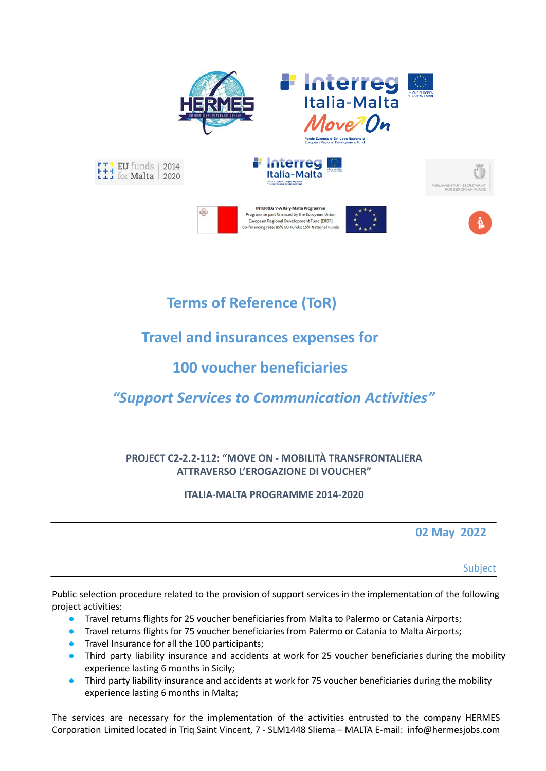

# **Terms of Reference (ToR)**

# **Travel and insurances expenses for**

## **100 voucher beneficiaries**

# *"Support Services to Communication Activities"*

## **PROJECT C2-2.2-112: "MOVE ON - MOBILITÀ TRANSFRONTALIERA ATTRAVERSO L'EROGAZIONE DI VOUCHER"**

## **ITALIA-MALTA PROGRAMME 2014-2020**

**02 May 2022**

Subject

Public selection procedure related to the provision of support services in the implementation of the following project activities:

- Travel returns flights for 25 voucher beneficiaries from Malta to Palermo or Catania Airports;
- **Travel returns flights for 75 voucher beneficiaries from Palermo or Catania to Malta Airports;**
- **•** Travel Insurance for all the 100 participants;
- Third party liability insurance and accidents at work for 25 voucher beneficiaries during the mobility experience lasting 6 months in Sicily;
- Third party liability insurance and accidents at work for 75 voucher beneficiaries during the mobility experience lasting 6 months in Malta;

The services are necessary for the implementation of the activities entrusted to the company HERMES Corporation Limited located in Triq Saint Vincent, 7 - SLM1448 Sliema – MALTA E-mail: info@hermesjobs.com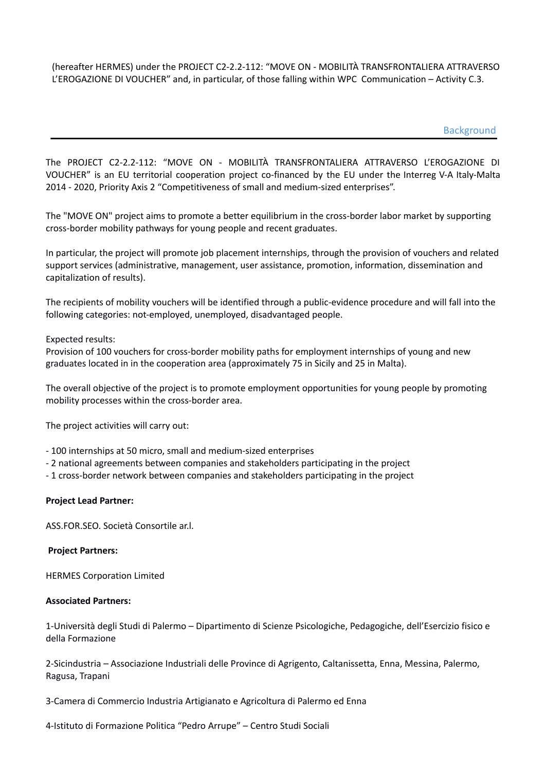(hereafter HERMES) under the PROJECT C2-2.2-112: "MOVE ON - MOBILITÀ TRANSFRONTALIERA ATTRAVERSO L'EROGAZIONE DI VOUCHER" and, in particular, of those falling within WPC Communication – Activity C.3.

**Background** 

The PROJECT C2-2.2-112: "MOVE ON - MOBILITÀ TRANSFRONTALIERA ATTRAVERSO L'EROGAZIONE DI VOUCHER" is an EU territorial cooperation project co-financed by the EU under the Interreg V-A Italy-Malta 2014 - 2020, Priority Axis 2 "Competitiveness of small and medium-sized enterprises".

The "MOVE ON" project aims to promote a better equilibrium in the cross-border labor market by supporting cross-border mobility pathways for young people and recent graduates.

In particular, the project will promote job placement internships, through the provision of vouchers and related support services (administrative, management, user assistance, promotion, information, dissemination and capitalization of results).

The recipients of mobility vouchers will be identified through a public-evidence procedure and will fall into the following categories: not-employed, unemployed, disadvantaged people.

## Expected results:

Provision of 100 vouchers for cross-border mobility paths for employment internships of young and new graduates located in in the cooperation area (approximately 75 in Sicily and 25 in Malta).

The overall objective of the project is to promote employment opportunities for young people by promoting mobility processes within the cross-border area.

The project activities will carry out:

- 100 internships at 50 micro, small and medium-sized enterprises
- 2 national agreements between companies and stakeholders participating in the project
- 1 cross-border network between companies and stakeholders participating in the project

## **Project Lead Partner:**

ASS.FOR.SEO. Società Consortile ar.l.

## **Project Partners:**

HERMES Corporation Limited

## **Associated Partners:**

1-Università degli Studi di Palermo – Dipartimento di Scienze Psicologiche, Pedagogiche, dell'Esercizio fisico e della Formazione

2-Sicindustria – Associazione Industriali delle Province di Agrigento, Caltanissetta, Enna, Messina, Palermo, Ragusa, Trapani

3-Camera di Commercio Industria Artigianato e Agricoltura di Palermo ed Enna

4-Istituto di Formazione Politica "Pedro Arrupe" – Centro Studi Sociali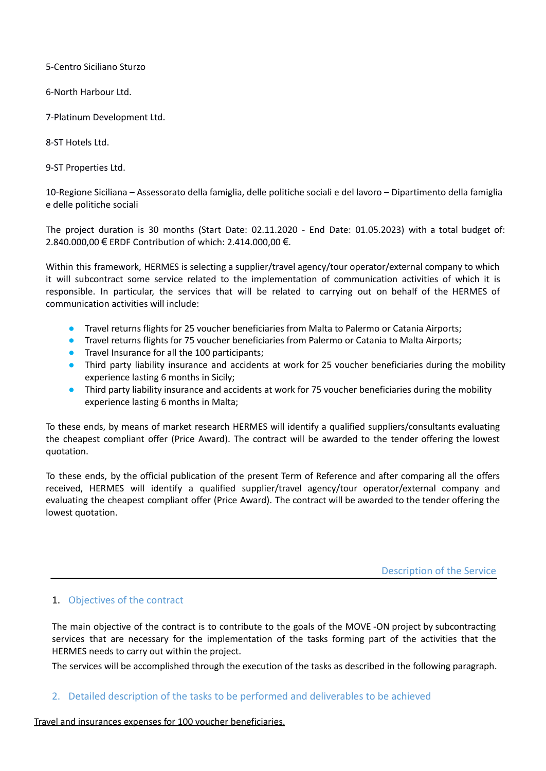5-Centro Siciliano Sturzo

6-North Harbour Ltd.

7-Platinum Development Ltd.

8-ST Hotels Ltd.

9-ST Properties Ltd.

10-Regione Siciliana – Assessorato della famiglia, delle politiche sociali e del lavoro – Dipartimento della famiglia e delle politiche sociali

The project duration is 30 months (Start Date: 02.11.2020 - End Date: 01.05.2023) with a total budget of: 2.840.000,00 € ERDF Contribution of which: 2.414.000,00 €.

Within this framework, HERMES is selecting a supplier/travel agency/tour operator/external company to which it will subcontract some service related to the implementation of communication activities of which it is responsible. In particular, the services that will be related to carrying out on behalf of the HERMES of communication activities will include:

- Travel returns flights for 25 voucher beneficiaries from Malta to Palermo or Catania Airports;
- Travel returns flights for 75 voucher beneficiaries from Palermo or Catania to Malta Airports;
- **•** Travel Insurance for all the 100 participants;
- Third party liability insurance and accidents at work for 25 voucher beneficiaries during the mobility experience lasting 6 months in Sicily;
- Third party liability insurance and accidents at work for 75 voucher beneficiaries during the mobility experience lasting 6 months in Malta;

To these ends, by means of market research HERMES will identify a qualified suppliers/consultants evaluating the cheapest compliant offer (Price Award). The contract will be awarded to the tender offering the lowest quotation.

To these ends, by the official publication of the present Term of Reference and after comparing all the offers received, HERMES will identify a qualified supplier/travel agency/tour operator/external company and evaluating the cheapest compliant offer (Price Award). The contract will be awarded to the tender offering the lowest quotation.

Description of the Service

## 1. Objectives of the contract

The main objective of the contract is to contribute to the goals of the MOVE -ON project by subcontracting services that are necessary for the implementation of the tasks forming part of the activities that the HERMES needs to carry out within the project.

The services will be accomplished through the execution of the tasks as described in the following paragraph.

## 2. Detailed description of the tasks to be performed and deliverables to be achieved

## Travel and insurances expenses for 100 voucher beneficiaries.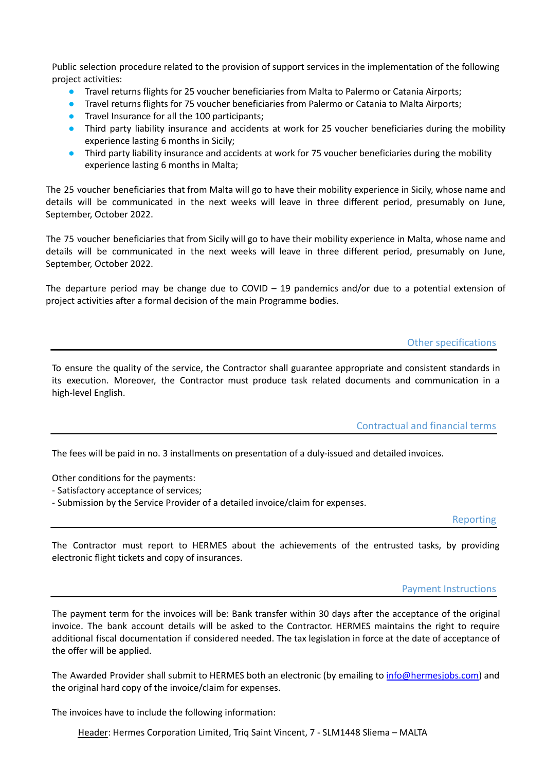Public selection procedure related to the provision of support services in the implementation of the following project activities:

- Travel returns flights for 25 voucher beneficiaries from Malta to Palermo or Catania Airports;
- Travel returns flights for 75 voucher beneficiaries from Palermo or Catania to Malta Airports;
- **•** Travel Insurance for all the 100 participants;
- Third party liability insurance and accidents at work for 25 voucher beneficiaries during the mobility experience lasting 6 months in Sicily;
- Third party liability insurance and accidents at work for 75 voucher beneficiaries during the mobility experience lasting 6 months in Malta;

The 25 voucher beneficiaries that from Malta will go to have their mobility experience in Sicily, whose name and details will be communicated in the next weeks will leave in three different period, presumably on June, September, October 2022.

The 75 voucher beneficiaries that from Sicily will go to have their mobility experience in Malta, whose name and details will be communicated in the next weeks will leave in three different period, presumably on June, September, October 2022.

The departure period may be change due to COVID  $-$  19 pandemics and/or due to a potential extension of project activities after a formal decision of the main Programme bodies.

#### Other specifications

To ensure the quality of the service, the Contractor shall guarantee appropriate and consistent standards in its execution. Moreover, the Contractor must produce task related documents and communication in a high-level English.

Contractual and financial terms

The fees will be paid in no. 3 installments on presentation of a duly-issued and detailed invoices.

Other conditions for the payments:

- Satisfactory acceptance of services;

- Submission by the Service Provider of a detailed invoice/claim for expenses.

Reporting

The Contractor must report to HERMES about the achievements of the entrusted tasks, by providing electronic flight tickets and copy of insurances.

## Payment Instructions

The payment term for the invoices will be: Bank transfer within 30 days after the acceptance of the original invoice. The bank account details will be asked to the Contractor. HERMES maintains the right to require additional fiscal documentation if considered needed. The tax legislation in force at the date of acceptance of the offer will be applied.

The Awarded Provider shall submit to HERMES both an electronic (by emailing to info@hermesjobs.com) and the original hard copy of the invoice/claim for expenses.

The invoices have to include the following information:

Header: Hermes Corporation Limited, Triq Saint Vincent, 7 - SLM1448 Sliema – MALTA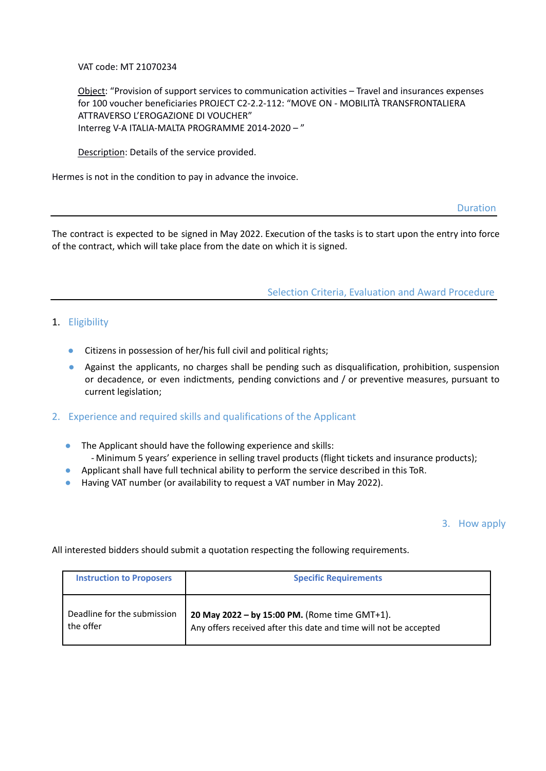VAT code: MT 21070234

Object: "Provision of support services to communication activities – Travel and insurances expenses for 100 voucher beneficiaries PROJECT C2-2.2-112: "MOVE ON - MOBILITÀ TRANSFRONTALIERA ATTRAVERSO L'EROGAZIONE DI VOUCHER" Interreg V-A ITALIA-MALTA PROGRAMME 2014-2020 – "

Description: Details of the service provided.

Hermes is not in the condition to pay in advance the invoice.

Duration

The contract is expected to be signed in May 2022. Execution of the tasks is to start upon the entry into force of the contract, which will take place from the date on which it is signed.

Selection Criteria, Evaluation and Award Procedure

## 1. Eligibility

- Citizens in possession of her/his full civil and political rights;
- Against the applicants, no charges shall be pending such as disqualification, prohibition, suspension or decadence, or even indictments, pending convictions and / or preventive measures, pursuant to current legislation;
- 2. Experience and required skills and qualifications of the Applicant
	- The Applicant should have the following experience and skills: - Minimum 5 years' experience in selling travel products (flight tickets and insurance products);
	- Applicant shall have full technical ability to perform the service described in this ToR.
	- Having VAT number (or availability to request a VAT number in May 2022).

## 3. How apply

All interested bidders should submit a quotation respecting the following requirements.

| <b>Instruction to Proposers</b> | <b>Specific Requirements</b>                                      |
|---------------------------------|-------------------------------------------------------------------|
| Deadline for the submission     | 20 May 2022 - by 15:00 PM. (Rome time GMT+1).                     |
| the offer                       | Any offers received after this date and time will not be accepted |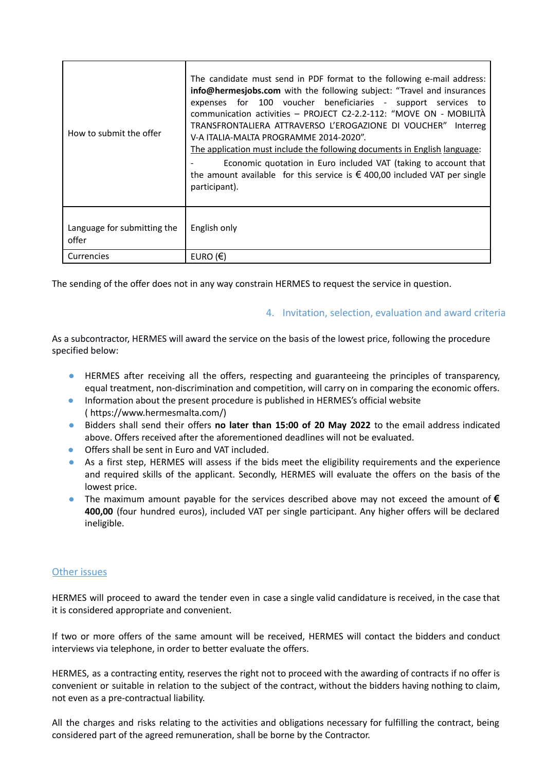| How to submit the offer              | The candidate must send in PDF format to the following e-mail address:<br>info@hermesjobs.com with the following subject: "Travel and insurances<br>for 100 voucher beneficiaries - support services to<br>expenses<br>communication activities - PROJECT C2-2.2-112: "MOVE ON - MOBILITÀ<br>TRANSFRONTALIERA ATTRAVERSO L'EROGAZIONE DI VOUCHER" Interreg<br>V-A ITALIA-MALTA PROGRAMME 2014-2020".<br>The application must include the following documents in English language:<br>Economic quotation in Euro included VAT (taking to account that<br>the amount available for this service is $\epsilon$ 400,00 included VAT per single<br>participant). |
|--------------------------------------|-------------------------------------------------------------------------------------------------------------------------------------------------------------------------------------------------------------------------------------------------------------------------------------------------------------------------------------------------------------------------------------------------------------------------------------------------------------------------------------------------------------------------------------------------------------------------------------------------------------------------------------------------------------|
| Language for submitting the<br>offer | English only                                                                                                                                                                                                                                                                                                                                                                                                                                                                                                                                                                                                                                                |
| Currencies                           | EURO $(E)$                                                                                                                                                                                                                                                                                                                                                                                                                                                                                                                                                                                                                                                  |

The sending of the offer does not in any way constrain HERMES to request the service in question.

## 4. Invitation, selection, evaluation and award criteria

As a subcontractor, HERMES will award the service on the basis of the lowest price, following the procedure specified below:

- HERMES after receiving all the offers, respecting and guaranteeing the principles of transparency, equal treatment, non-discrimination and competition, will carry on in comparing the economic offers.
- Information about the present procedure is published in HERMES's official website ( https://www.hermesmalta.com/)
- Bidders shall send their offers **no later than 15:00 of 20 May 2022** to the email address indicated above. Offers received after the aforementioned deadlines will not be evaluated.
- Offers shall be sent in Euro and VAT included.
- As a first step, HERMES will assess if the bids meet the eligibility requirements and the experience and required skills of the applicant. Secondly, HERMES will evaluate the offers on the basis of the lowest price.
- The maximum amount payable for the services described above may not exceed the amount of **€ 400,00** (four hundred euros), included VAT per single participant. Any higher offers will be declared ineligible.

## Other issues

HERMES will proceed to award the tender even in case a single valid candidature is received, in the case that it is considered appropriate and convenient.

If two or more offers of the same amount will be received, HERMES will contact the bidders and conduct interviews via telephone, in order to better evaluate the offers.

HERMES, as a contracting entity, reserves the right not to proceed with the awarding of contracts if no offer is convenient or suitable in relation to the subject of the contract, without the bidders having nothing to claim, not even as a pre-contractual liability.

All the charges and risks relating to the activities and obligations necessary for fulfilling the contract, being considered part of the agreed remuneration, shall be borne by the Contractor.